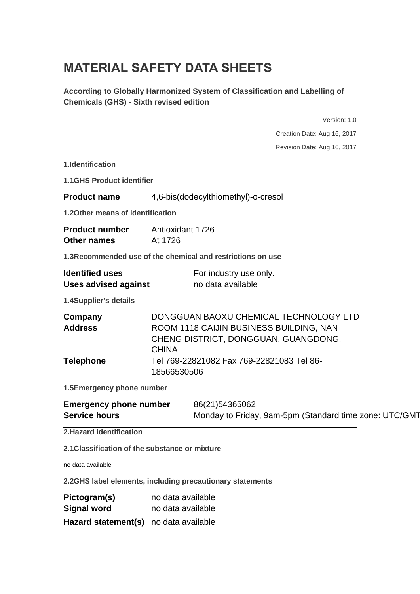# **MATERIAL SAFETY DATA SHEETS**

**According to Globally Harmonized System of Classification and Labelling of Chemicals (GHS) - Sixth revised edition**

Version: 1.0 Creation Date: Aug 16, 2017 Revision Date: Aug 16, 2017 **1.Identification 1.1GHS Product identifier Product name** 4,6-bis(dodecylthiomethyl)-o-cresol **1.2Other means of identification Product number** Antioxidant 1726 **Other names** At 1726 **1.3Recommended use of the chemical and restrictions on use Identified uses** For industry use only. **Uses advised against** no data available **1.4Supplier's details Company** DONGGUAN BAOXU CHEMICAL TECHNOLOGY LTD **Address** ROOM 1118 CAIJIN BUSINESS BUILDING, NAN CHENG DISTRICT, DONGGUAN, GUANGDONG, **CHINA Telephone** Tel 769-22821082 Fax 769-22821083 Tel 86- 18566530506 **1.5Emergency phone number Emergency phone number** 86(21)54365062 **Service hours** Monday to Friday, 9am-5pm (Standard time zone: UTC/GMT **2.Hazard identification 2.1Classification of the substance or mixture** no data available

**2.2GHS label elements, including precautionary statements**

| Pictogram(s)                          | no data available |
|---------------------------------------|-------------------|
| <b>Signal word</b>                    | no data available |
| Hazard statement(s) no data available |                   |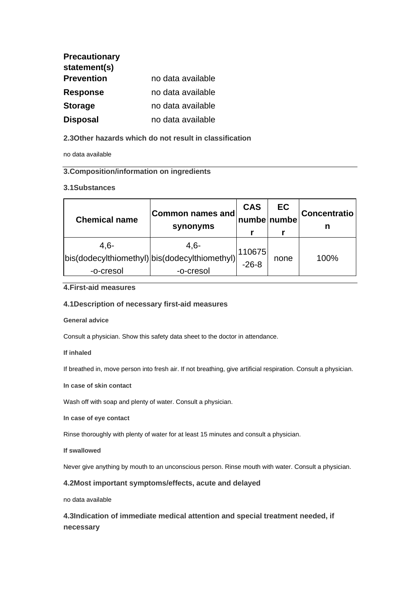| <b>Precautionary</b> |                   |
|----------------------|-------------------|
| statement(s)         |                   |
| <b>Prevention</b>    | no data available |
| <b>Response</b>      | no data available |
| <b>Storage</b>       | no data available |
| <b>Disposal</b>      | no data available |

# **2.3Other hazards which do not result in classification**

no data available

# **3.Composition/information on ingredients**

## **3.1Substances**

| <b>Chemical name</b>                                                  | <b>Common names and</b><br>synonyms | <b>CAS</b><br>numbenumbe | EC   | <b>Concentratio</b><br>n |
|-----------------------------------------------------------------------|-------------------------------------|--------------------------|------|--------------------------|
| $4.6 -$<br>bis(dodecylthiomethyl) bis(dodecylthiomethyl)<br>-o-cresol | $4,6-$<br>-o-cresol                 | 110675<br>$-26-8$        | none | 100%                     |

# **4.First-aid measures**

## **4.1Description of necessary first-aid measures**

## **General advice**

Consult a physician. Show this safety data sheet to the doctor in attendance.

## **If inhaled**

If breathed in, move person into fresh air. If not breathing, give artificial respiration. Consult a physician.

**In case of skin contact**

Wash off with soap and plenty of water. Consult a physician.

**In case of eye contact**

Rinse thoroughly with plenty of water for at least 15 minutes and consult a physician.

**If swallowed**

Never give anything by mouth to an unconscious person. Rinse mouth with water. Consult a physician.

## **4.2Most important symptoms/effects, acute and delayed**

no data available

**4.3Indication of immediate medical attention and special treatment needed, if necessary**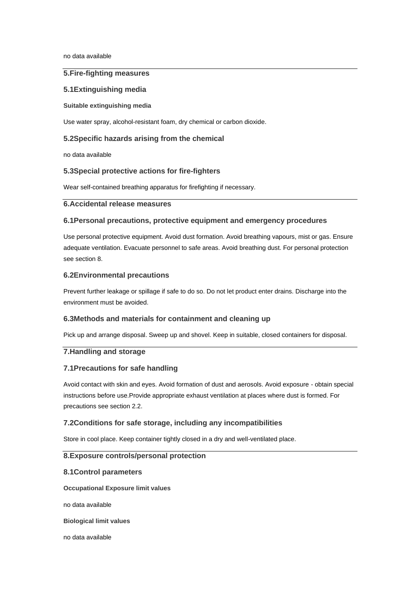no data available

## **5.Fire-fighting measures**

#### **5.1Extinguishing media**

#### **Suitable extinguishing media**

Use water spray, alcohol-resistant foam, dry chemical or carbon dioxide.

## **5.2Specific hazards arising from the chemical**

no data available

#### **5.3Special protective actions for fire-fighters**

Wear self-contained breathing apparatus for firefighting if necessary.

## **6.Accidental release measures**

## **6.1Personal precautions, protective equipment and emergency procedures**

Use personal protective equipment. Avoid dust formation. Avoid breathing vapours, mist or gas. Ensure adequate ventilation. Evacuate personnel to safe areas. Avoid breathing dust. For personal protection see section 8.

#### **6.2Environmental precautions**

Prevent further leakage or spillage if safe to do so. Do not let product enter drains. Discharge into the environment must be avoided.

#### **6.3Methods and materials for containment and cleaning up**

Pick up and arrange disposal. Sweep up and shovel. Keep in suitable, closed containers for disposal.

## **7.Handling and storage**

#### **7.1Precautions for safe handling**

Avoid contact with skin and eyes. Avoid formation of dust and aerosols. Avoid exposure - obtain special instructions before use.Provide appropriate exhaust ventilation at places where dust is formed. For precautions see section 2.2.

## **7.2Conditions for safe storage, including any incompatibilities**

Store in cool place. Keep container tightly closed in a dry and well-ventilated place.

## **8.Exposure controls/personal protection**

#### **8.1Control parameters**

**Occupational Exposure limit values**

no data available

**Biological limit values**

no data available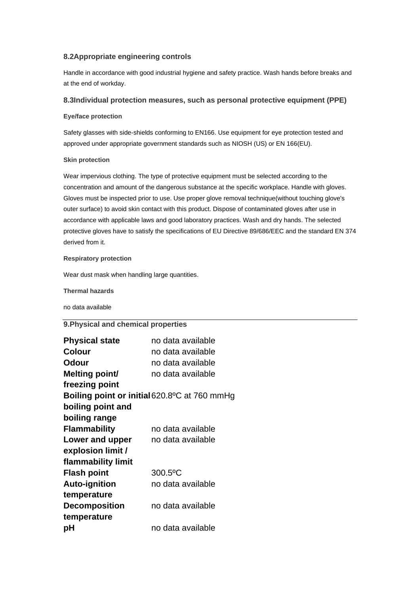## **8.2Appropriate engineering controls**

Handle in accordance with good industrial hygiene and safety practice. Wash hands before breaks and at the end of workday.

## **8.3Individual protection measures, such as personal protective equipment (PPE)**

#### **Eye/face protection**

Safety glasses with side-shields conforming to EN166. Use equipment for eye protection tested and approved under appropriate government standards such as NIOSH (US) or EN 166(EU).

#### **Skin protection**

Wear impervious clothing. The type of protective equipment must be selected according to the concentration and amount of the dangerous substance at the specific workplace. Handle with gloves. Gloves must be inspected prior to use. Use proper glove removal technique(without touching glove's outer surface) to avoid skin contact with this product. Dispose of contaminated gloves after use in accordance with applicable laws and good laboratory practices. Wash and dry hands. The selected protective gloves have to satisfy the specifications of EU Directive 89/686/EEC and the standard EN 374 derived from it.

#### **Respiratory protection**

Wear dust mask when handling large quantities.

**Thermal hazards**

no data available

# **9.Physical and chemical properties**

| <b>Physical state</b> | no data available                            |
|-----------------------|----------------------------------------------|
| <b>Colour</b>         | no data available                            |
| <b>Odour</b>          | no data available                            |
| Melting point/        | no data available                            |
| freezing point        |                                              |
|                       | Boiling point or initial 620.8°C at 760 mmHg |
| boiling point and     |                                              |
| boiling range         |                                              |
| <b>Flammability</b>   | no data available                            |
| Lower and upper       | no data available                            |
| explosion limit /     |                                              |
| flammability limit    |                                              |
| <b>Flash point</b>    | 300.5°C                                      |
| <b>Auto-ignition</b>  | no data available                            |
| temperature           |                                              |
| <b>Decomposition</b>  | no data available                            |
| temperature           |                                              |
| рH                    | no data available                            |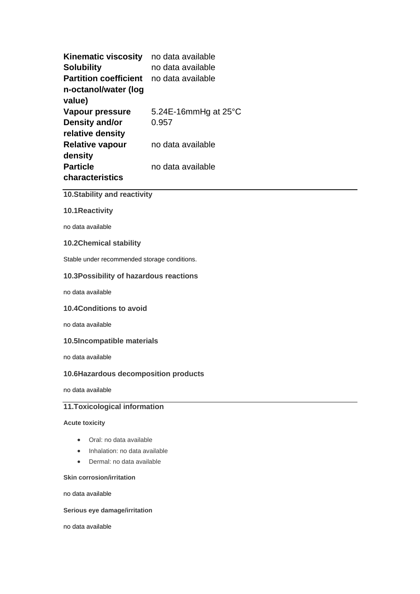| <b>Kinematic viscosity</b>   | no data available              |
|------------------------------|--------------------------------|
| <b>Solubility</b>            | no data available              |
| <b>Partition coefficient</b> | no data available              |
| n-octanol/water (log         |                                |
| value)                       |                                |
| Vapour pressure              | 5.24E-16mmHg at $25^{\circ}$ C |
| <b>Density and/or</b>        | 0.957                          |
| relative density             |                                |
| <b>Relative vapour</b>       | no data available              |
| density                      |                                |
| <b>Particle</b>              | no data available              |
| characteristics              |                                |

# **10.Stability and reactivity**

## **10.1Reactivity**

no data available

## **10.2Chemical stability**

Stable under recommended storage conditions.

## **10.3Possibility of hazardous reactions**

no data available

## **10.4Conditions to avoid**

no data available

#### **10.5Incompatible materials**

no data available

## **10.6Hazardous decomposition products**

no data available

# **11.Toxicological information**

## **Acute toxicity**

- Oral: no data available
- Inhalation: no data available
- Dermal: no data available

#### **Skin corrosion/irritation**

no data available

## **Serious eye damage/irritation**

no data available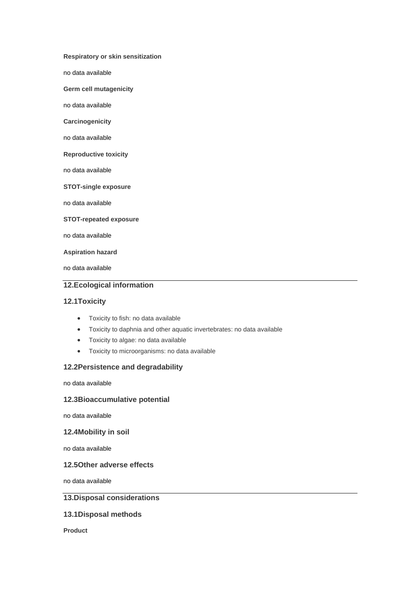**Respiratory or skin sensitization**

no data available

**Germ cell mutagenicity**

no data available

**Carcinogenicity**

no data available

**Reproductive toxicity**

no data available

**STOT-single exposure**

no data available

**STOT-repeated exposure**

no data available

**Aspiration hazard**

no data available

## **12.Ecological information**

## **12.1Toxicity**

- Toxicity to fish: no data available
- Toxicity to daphnia and other aquatic invertebrates: no data available
- Toxicity to algae: no data available
- Toxicity to microorganisms: no data available

## **12.2Persistence and degradability**

no data available

## **12.3Bioaccumulative potential**

no data available

#### **12.4Mobility in soil**

no data available

## **12.5Other adverse effects**

no data available

# **13.Disposal considerations**

# **13.1Disposal methods**

**Product**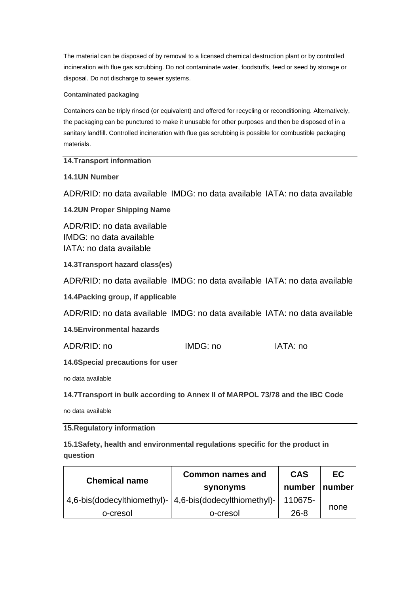The material can be disposed of by removal to a licensed chemical destruction plant or by controlled incineration with flue gas scrubbing. Do not contaminate water, foodstuffs, feed or seed by storage or disposal. Do not discharge to sewer systems.

## **Contaminated packaging**

Containers can be triply rinsed (or equivalent) and offered for recycling or reconditioning. Alternatively, the packaging can be punctured to make it unusable for other purposes and then be disposed of in a sanitary landfill. Controlled incineration with flue gas scrubbing is possible for combustible packaging materials.

**14.Transport information**

**14.1UN Number**

ADR/RID: no data available IMDG: no data available IATA: no data available

**14.2UN Proper Shipping Name**

ADR/RID: no data available IMDG: no data available IATA: no data available

**14.3Transport hazard class(es)**

ADR/RID: no data available IMDG: no data available IATA: no data available

**14.4Packing group, if applicable**

ADR/RID: no data available IMDG: no data available IATA: no data available

**14.5Environmental hazards**

ADR/RID: no IMDG: no IATA: no

**14.6Special precautions for user**

no data available

**14.7Transport in bulk according to Annex II of MARPOL 73/78 and the IBC Code**

no data available

**15.Regulatory information**

**15.1Safety, health and environmental regulations specific for the product in question**

| <b>Chemical name</b> | <b>Common names and</b>                                   | <b>CAS</b> | EC.    |
|----------------------|-----------------------------------------------------------|------------|--------|
|                      | <b>synonyms</b>                                           | number     | number |
|                      | 4,6-bis(dodecylthiomethyl)-   4,6-bis(dodecylthiomethyl)- | 110675-    |        |
| o-cresol             | o-cresol                                                  | $26 - 8$   | none   |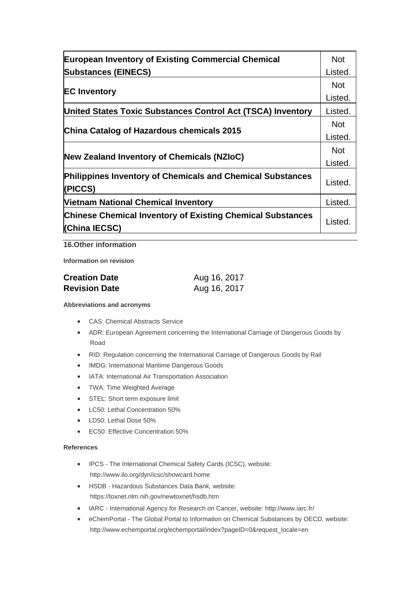| <b>European Inventory of Existing Commercial Chemical</b>                          |         |
|------------------------------------------------------------------------------------|---------|
| <b>Substances (EINECS)</b>                                                         | Listed. |
| <b>EC Inventory</b>                                                                |         |
|                                                                                    |         |
| China Catalog of Hazardous chemicals 2015                                          |         |
|                                                                                    |         |
| <b>Philippines Inventory of Chemicals and Chemical Substances</b><br>(PICCS)       | Listed. |
| <b>Vietnam National Chemical Inventory</b>                                         | Listed. |
| <b>Chinese Chemical Inventory of Existing Chemical Substances</b><br>(China IECSC) | Listed. |

**16.Other information**

**Information on revision**

| <b>Creation Date</b> | Aug 16, 2017 |  |  |
|----------------------|--------------|--|--|
| <b>Revision Date</b> | Aug 16, 2017 |  |  |

#### **Abbreviations and acronyms**

- CAS: Chemical Abstracts Service
- ADR: European Agreement concerning the International Carriage of Dangerous Goods by Road
- RID: Regulation concerning the International Carriage of Dangerous Goods by Rail
- IMDG: International Maritime Dangerous Goods
- IATA: International Air Transportation Association
- TWA: Time Weighted Average
- STEL: Short term exposure limit
- LC50: Lethal Concentration 50%
- LD50: Lethal Dose 50%
- EC50: Effective Concentration 50%

## **References**

- IPCS The International Chemical Safety Cards (ICSC), website: http://www.ilo.org/dyn/icsc/showcard.home
- HSDB Hazardous Substances Data Bank, website: https://toxnet.nlm.nih.gov/newtoxnet/hsdb.htm
- IARC International Agency for Research on Cancer, website: http://www.iarc.fr/
- eChemPortal The Global Portal to Information on Chemical Substances by OECD, website: http://www.echemportal.org/echemportal/index?pageID=0&request\_locale=en